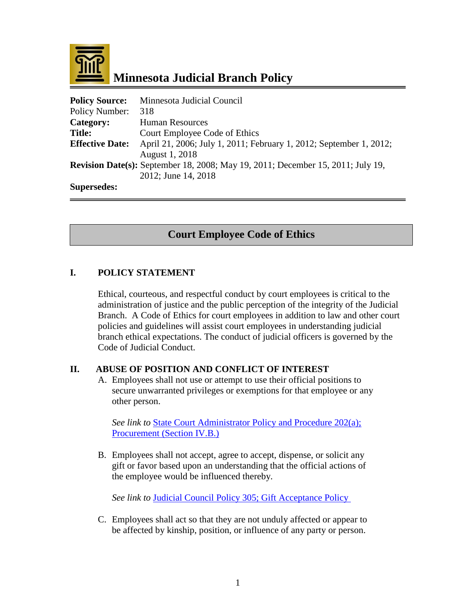

 **Minnesota Judicial Branch Policy**

| <b>Policy Source:</b>  | Minnesota Judicial Council                                                             |
|------------------------|----------------------------------------------------------------------------------------|
| Policy Number:         | 318                                                                                    |
| Category:              | <b>Human Resources</b>                                                                 |
| <b>Title:</b>          | Court Employee Code of Ethics                                                          |
| <b>Effective Date:</b> | April 21, 2006; July 1, 2011; February 1, 2012; September 1, 2012;                     |
|                        | August 1, 2018                                                                         |
|                        | <b>Revision Date(s):</b> September 18, 2008; May 19, 2011; December 15, 2011; July 19, |
|                        | 2012; June 14, 2018                                                                    |
| <b>Supersedes:</b>     |                                                                                        |

# **Court Employee Code of Ethics**

#### **I. POLICY STATEMENT**

Ethical, courteous, and respectful conduct by court employees is critical to the administration of justice and the public perception of the integrity of the Judicial Branch. A Code of Ethics for court employees in addition to law and other court policies and guidelines will assist court employees in understanding judicial branch ethical expectations. The conduct of judicial officers is governed by the Code of Judicial Conduct.

#### **II. ABUSE OF POSITION AND CONFLICT OF INTEREST**

A. Employees shall not use or attempt to use their official positions to secure unwarranted privileges or exemptions for that employee or any other person.

See link to **[State Court Administrator Policy](http://courtnet.courts.state.mn.us/Documents/100/docs/Judicial_Council/JC%20Finance/202(a).doc) and Procedure 202(a);** [Procurement \(Section IV.B.\)](http://courtnet.courts.state.mn.us/Documents/100/docs/Judicial_Council/JC%20Finance/202(a).doc)

B. Employees shall not accept, agree to accept, dispense, or solicit any gift or favor based upon an understanding that the official actions of the employee would be influenced thereby.

*See link to* [Judicial Council Policy 305; Gift](http://courtnet.courts.state.mn.us/Documents/100/docs/Judicial_Council/HR/305_Acceptance_of_Gifts_and_Favors.doc) Acceptance Policy

C. Employees shall act so that they are not unduly affected or appear to be affected by kinship, position, or influence of any party or person.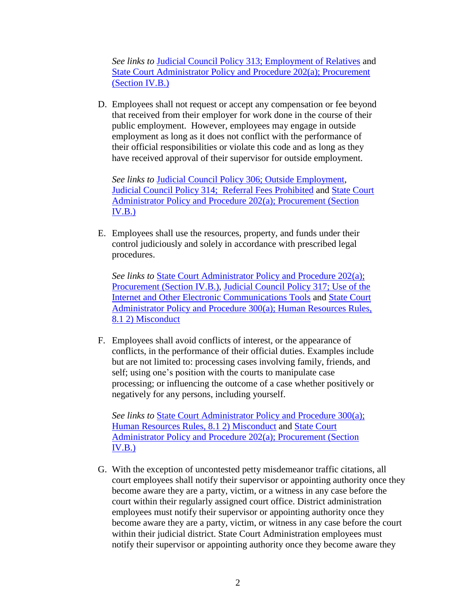*See links to* [Judicial Council Policy 313; Employment of Relatives](http://courtnet.courts.state.mn.us/Documents/100/docs/Judicial_Council/HR/313_Employment_of_Relatives.doc) and State Court Administrator Policy [and Procedure 202\(a\); Procurement](http://courtnet.courts.state.mn.us/Documents/100/docs/Judicial_Council/JC%20Finance/202(a).doc)  [\(Section IV.B.\)](http://courtnet.courts.state.mn.us/Documents/100/docs/Judicial_Council/JC%20Finance/202(a).doc)

D. Employees shall not request or accept any compensation or fee beyond that received from their employer for work done in the course of their public employment. However, employees may engage in outside employment as long as it does not conflict with the performance of their official responsibilities or violate this code and as long as they have received approval of their supervisor for outside employment.

*See links to* [Judicial Council Policy 306; Outside Employment,](http://courtnet.courts.state.mn.us/Documents/100/docs/Judicial_Council/HR/306_Outside_Employment.doc) [Judicial Council Policy 314; Referral Fees Prohibited](http://courtnet.courts.state.mn.us/Documents/100/docs/Judicial_Council/HR/314_Referral_Fees_Prohibited.doc) and [State Court](http://courtnet.courts.state.mn.us/Documents/100/docs/Judicial_Council/JC%20Finance/202(a).doc)  Administrator Policy [and Procedure 202\(a\); Procurement \(Section](http://courtnet.courts.state.mn.us/Documents/100/docs/Judicial_Council/JC%20Finance/202(a).doc)   $IV.B.)$ 

E. Employees shall use the resources, property, and funds under their control judiciously and solely in accordance with prescribed legal procedures.

*See links to* [State Court Administrator Policy](http://courtnet.courts.state.mn.us/Documents/100/docs/Judicial_Council/JC%20Finance/202(a).doc) and Procedure 202(a); [Procurement \(Section IV.B.\),](http://courtnet.courts.state.mn.us/Documents/100/docs/Judicial_Council/JC%20Finance/202(a).doc) [Judicial Council Policy 317; Use of the](http://courtnet.courts.state.mn.us/Documents/100/docs/Judicial_Council/HR/JC317_2016_Internet-Electronic_Communication_Policy_2-12_Revised_clean.doc)  [Internet and Other Electronic Communications Tools](http://courtnet.courts.state.mn.us/Documents/100/docs/Judicial_Council/HR/JC317_2016_Internet-Electronic_Communication_Policy_2-12_Revised_clean.doc) and [State Court](http://courtnet.courts.state.mn.us/Documents/100/docs/Judicial_Council/HR/HR_Rules_May_2017_-_edits_clean.doc)  Administrator Policy [and Procedure 300\(a\); Human Resources Rules,](http://courtnet.courts.state.mn.us/Documents/100/docs/Judicial_Council/HR/HR_Rules_May_2017_-_edits_clean.doc)  [8.1 2\) Misconduct](http://courtnet.courts.state.mn.us/Documents/100/docs/Judicial_Council/HR/HR_Rules_May_2017_-_edits_clean.doc)

F. Employees shall avoid conflicts of interest, or the appearance of conflicts, in the performance of their official duties. Examples include but are not limited to: processing cases involving family, friends, and self; using one's position with the courts to manipulate case processing; or influencing the outcome of a case whether positively or negatively for any persons, including yourself.

*See links to* [State Court Administrator Policy](http://courtnet.courts.state.mn.us/Documents/100/docs/Judicial_Council/HR/HR_Rules_May_2017_-_edits_clean.doc) and Procedure 300(a); [Human Resources Rules, 8.1 2\) Misconduct](http://courtnet.courts.state.mn.us/Documents/100/docs/Judicial_Council/HR/HR_Rules_May_2017_-_edits_clean.doc) and [State Court](http://courtnet.courts.state.mn.us/Documents/100/docs/Judicial_Council/JC%20Finance/202(a)_2013_signed.docx)  Administrator Policy [and Procedure 202\(a\); Procurement \(Section](http://courtnet.courts.state.mn.us/Documents/100/docs/Judicial_Council/JC%20Finance/202(a)_2013_signed.docx)  [IV.B.\)](http://courtnet.courts.state.mn.us/Documents/100/docs/Judicial_Council/JC%20Finance/202(a)_2013_signed.docx) 

G. With the exception of uncontested petty misdemeanor traffic citations, all court employees shall notify their supervisor or appointing authority once they become aware they are a party, victim, or a witness in any case before the court within their regularly assigned court office. District administration employees must notify their supervisor or appointing authority once they become aware they are a party, victim, or witness in any case before the court within their judicial district. State Court Administration employees must notify their supervisor or appointing authority once they become aware they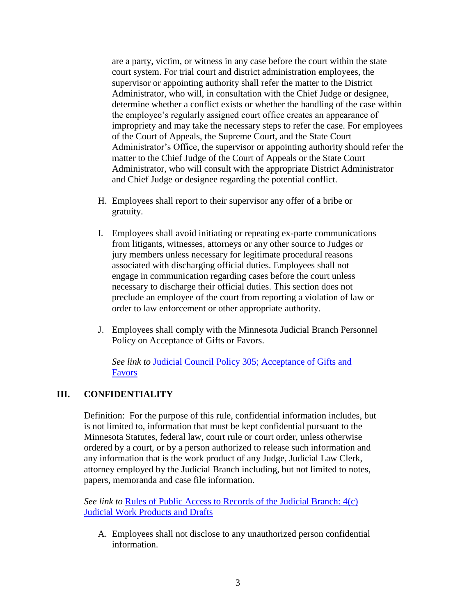are a party, victim, or witness in any case before the court within the state court system. For trial court and district administration employees, the supervisor or appointing authority shall refer the matter to the District Administrator, who will, in consultation with the Chief Judge or designee, determine whether a conflict exists or whether the handling of the case within the employee's regularly assigned court office creates an appearance of impropriety and may take the necessary steps to refer the case. For employees of the Court of Appeals, the Supreme Court, and the State Court Administrator's Office, the supervisor or appointing authority should refer the matter to the Chief Judge of the Court of Appeals or the State Court Administrator, who will consult with the appropriate District Administrator and Chief Judge or designee regarding the potential conflict.

- H. Employees shall report to their supervisor any offer of a bribe or gratuity.
- I. Employees shall avoid initiating or repeating ex-parte communications from litigants, witnesses, attorneys or any other source to Judges or jury members unless necessary for legitimate procedural reasons associated with discharging official duties. Employees shall not engage in communication regarding cases before the court unless necessary to discharge their official duties. This section does not preclude an employee of the court from reporting a violation of law or order to law enforcement or other appropriate authority.
- J. Employees shall comply with the Minnesota Judicial Branch Personnel Policy on Acceptance of Gifts or Favors.

*See link to* [Judicial Council Policy 305; Acceptance of Gifts and](http://courtnet.courts.state.mn.us/Documents/100/docs/Judicial_Council/HR/305_Acceptance_of_Gifts_and_Favors.doc)  [Favors](http://courtnet.courts.state.mn.us/Documents/100/docs/Judicial_Council/HR/305_Acceptance_of_Gifts_and_Favors.doc)

#### **III. CONFIDENTIALITY**

Definition: For the purpose of this rule, confidential information includes, but is not limited to, information that must be kept confidential pursuant to the Minnesota Statutes, federal law, court rule or court order, unless otherwise ordered by a court, or by a person authorized to release such information and any information that is the work product of any Judge, Judicial Law Clerk, attorney employed by the Judicial Branch including, but not limited to notes, papers, memoranda and case file information.

*See link to* [Rules of Public Access to Records of the Judicial Branch: 4\(c\)](https://www.revisor.mn.gov/court_rules/rule.php?type=ra&id=4)  [Judicial Work Products and Drafts](https://www.revisor.mn.gov/court_rules/rule.php?type=ra&id=4)

A. Employees shall not disclose to any unauthorized person confidential information.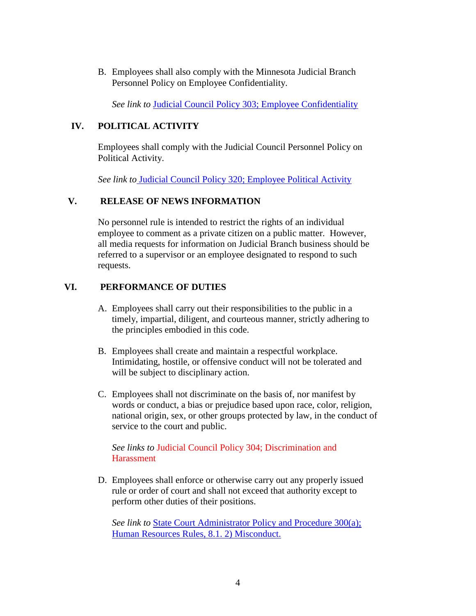B. Employees shall also comply with the Minnesota Judicial Branch Personnel Policy on Employee Confidentiality.

*See link to* [Judicial Council Policy 303; Employee Confidentiality](http://courtnet.courts.state.mn.us/Documents/100/docs/Judicial_Council/HR/303_Employee_Cofidentiality.doc)

#### **IV. POLITICAL ACTIVITY**

Employees shall comply with the Judicial Council Personnel Policy on Political Activity.

*See link to* [Judicial Council Policy 320; Employee Political Activity](http://courtnet.courts.state.mn.us/Documents/100/docs/Judicial_Council/HR/320_Political_Activity_Policy.doc)

#### **V. RELEASE OF NEWS INFORMATION**

No personnel rule is intended to restrict the rights of an individual employee to comment as a private citizen on a public matter. However, all media requests for information on Judicial Branch business should be referred to a supervisor or an employee designated to respond to such requests.

## **VI. PERFORMANCE OF DUTIES**

- A. Employees shall carry out their responsibilities to the public in a timely, impartial, diligent, and courteous manner, strictly adhering to the principles embodied in this code.
- B. Employees shall create and maintain a respectful workplace. Intimidating, hostile, or offensive conduct will not be tolerated and will be subject to disciplinary action.
- C. Employees shall not discriminate on the basis of, nor manifest by words or conduct, a bias or prejudice based upon race, color, religion, national origin, sex, or other groups protected by law, in the conduct of service to the court and public.

*See links to* Judicial Council Policy 304; Discrimination and **Harassment** 

D. Employees shall enforce or otherwise carry out any properly issued rule or order of court and shall not exceed that authority except to perform other duties of their positions.

*See link to* [State Court Administrator Policy](http://courtnet.courts.state.mn.us/Documents/100/docs/Judicial_Council/HR/HR_Rules_May_2017_-_edits_clean.doc) and Procedure 300(a); [Human Resources Rules, 8.1.](http://courtnet.courts.state.mn.us/Documents/100/docs/Judicial_Council/HR/HR_Rules_May_2017_-_edits_clean.doc) 2) Misconduct.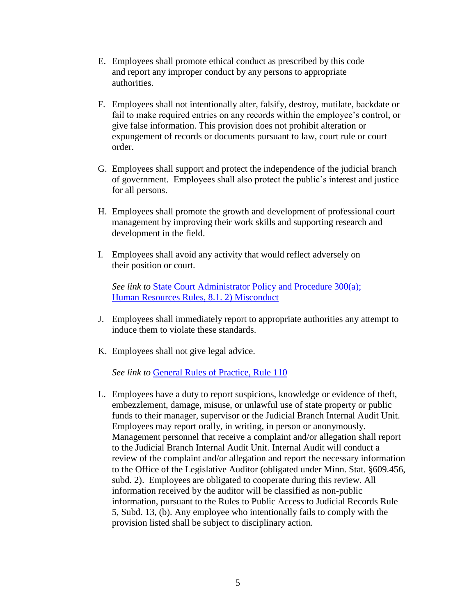- E. Employees shall promote ethical conduct as prescribed by this code and report any improper conduct by any persons to appropriate authorities.
- F. Employees shall not intentionally alter, falsify, destroy, mutilate, backdate or fail to make required entries on any records within the employee's control, or give false information. This provision does not prohibit alteration or expungement of records or documents pursuant to law, court rule or court order.
- G. Employees shall support and protect the independence of the judicial branch of government. Employees shall also protect the public's interest and justice for all persons.
- H. Employees shall promote the growth and development of professional court management by improving their work skills and supporting research and development in the field.
- I. Employees shall avoid any activity that would reflect adversely on their position or court.

*See link to* [State Court Administrator Policy](http://courtnet.courts.state.mn.us/Documents/100/docs/Judicial_Council/HR/HR_Rules_May_2017_-_edits_clean.doc) and Procedure 300(a); [Human Resources Rules, 8.1.](http://courtnet.courts.state.mn.us/Documents/100/docs/Judicial_Council/HR/HR_Rules_May_2017_-_edits_clean.doc) 2) Misconduct

- J. Employees shall immediately report to appropriate authorities any attempt to induce them to violate these standards.
- K. Employees shall not give legal advice.

*See link to* [General Rules of Practice, Rule](https://www.revisor.mn.gov/court_rules/rule.php?type=gp&id=110) 110

L. Employees have a duty to report suspicions, knowledge or evidence of theft, embezzlement, damage, misuse, or unlawful use of state property or public funds to their manager, supervisor or the Judicial Branch Internal Audit Unit. Employees may report orally, in writing, in person or anonymously. Management personnel that receive a complaint and/or allegation shall report to the Judicial Branch Internal Audit Unit. Internal Audit will conduct a review of the complaint and/or allegation and report the necessary information to the Office of the Legislative Auditor (obligated under Minn. Stat. §609.456, subd. 2). Employees are obligated to cooperate during this review. All information received by the auditor will be classified as non-public information, pursuant to the Rules to Public Access to Judicial Records Rule 5, Subd. 13, (b). Any employee who intentionally fails to comply with the provision listed shall be subject to disciplinary action.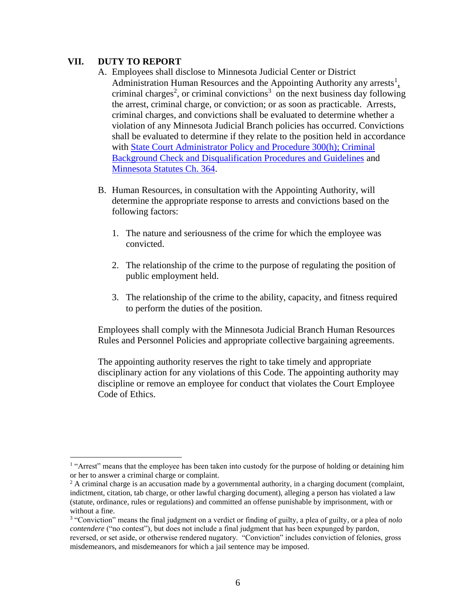#### **VII. DUTY TO REPORT**

 $\overline{a}$ 

- A. Employees shall disclose to Minnesota Judicial Center or District Administration Human Resources and the Appointing Authority any arrests $\frac{1}{2}$ criminal charges<sup>2</sup>, or criminal convictions<sup>3</sup> on the next business day following the arrest, criminal charge, or conviction; or as soon as practicable. Arrests, criminal charges, and convictions shall be evaluated to determine whether a violation of any Minnesota Judicial Branch policies has occurred. Convictions shall be evaluated to determine if they relate to the position held in accordance with [State Court Administrator Policy and Procedure 300\(h\); Criminal](http://courtnet.courts.state.mn.us/Documents/100/docs/Judicial_Council/HR/300_(h)_2015_Final_Criminal_Background_Checks.docx)  [Background Check and Disqualification Procedures and Guidelines](http://courtnet.courts.state.mn.us/Documents/100/docs/Judicial_Council/HR/300_(h)_2015_Final_Criminal_Background_Checks.docx) and [Minnesota Statutes Ch. 364.](https://www.revisor.mn.gov/statutes/?id=364)
- B. Human Resources, in consultation with the Appointing Authority, will determine the appropriate response to arrests and convictions based on the following factors:
	- 1. The nature and seriousness of the crime for which the employee was convicted.
	- 2. The relationship of the crime to the purpose of regulating the position of public employment held.
	- 3. The relationship of the crime to the ability, capacity, and fitness required to perform the duties of the position.

Employees shall comply with the Minnesota Judicial Branch Human Resources Rules and Personnel Policies and appropriate collective bargaining agreements.

The appointing authority reserves the right to take timely and appropriate disciplinary action for any violations of this Code. The appointing authority may discipline or remove an employee for conduct that violates the Court Employee Code of Ethics.

<sup>&</sup>lt;sup>1</sup> "Arrest" means that the employee has been taken into custody for the purpose of holding or detaining him or her to answer a criminal charge or complaint.

 $2$  A criminal charge is an accusation made by a governmental authority, in a charging document (complaint, indictment, citation, tab charge, or other lawful charging document), alleging a person has violated a law (statute, ordinance, rules or regulations) and committed an offense punishable by imprisonment, with or without a fine.

<sup>3</sup> "Conviction" means the final judgment on a verdict or finding of guilty, a plea of guilty, or a plea of *nolo contendere* ("no contest"), but does not include a final judgment that has been expunged by pardon, reversed, or set aside, or otherwise rendered nugatory. "Conviction" includes conviction of felonies, gross misdemeanors, and misdemeanors for which a jail sentence may be imposed.